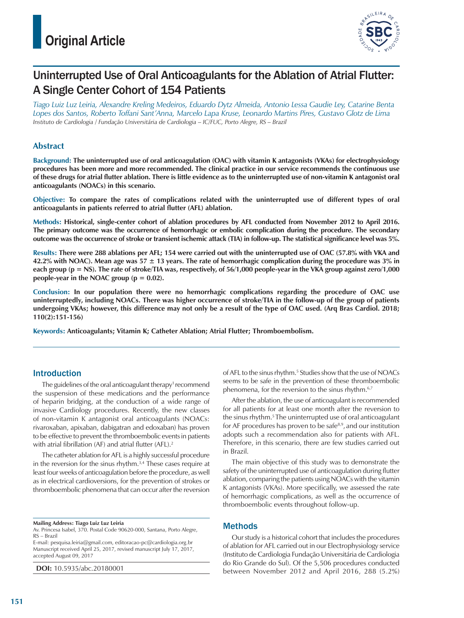# **Original Article**



# Uninterrupted Use of Oral Anticoagulants for the Ablation of Atrial Flutter: A Single Center Cohort of 154 Patients

*Tiago Luiz Luz Leiria, Alexandre Kreling Medeiros, Eduardo Dytz Almeida, Antonio Lessa Gaudie Ley, Catarine Benta Lopes dos Santos, Roberto Toffani Sant'Anna, Marcelo Lapa Kruse, Leonardo Martins Pires, Gustavo Glotz de Lima Instituto de Cardiologia / Fundação Universitária de Cardiologia – IC/FUC, Porto Alegre, RS – Brazil*

# **Abstract**

**Background: The uninterrupted use of oral anticoagulation (OAC) with vitamin K antagonists (VKAs) for electrophysiology procedures has been more and more recommended. The clinical practice in our service recommends the continuous use of these drugs for atrial flutter ablation. There is little evidence as to the uninterrupted use of non-vitamin K antagonist oral anticoagulants (NOACs) in this scenario.**

**Objective: To compare the rates of complications related with the uninterrupted use of different types of oral anticoagulants in patients referred to atrial flutter (AFL) ablation.**

**Methods: Historical, single-center cohort of ablation procedures by AFL conducted from November 2012 to April 2016. The primary outcome was the occurrence of hemorrhagic or embolic complication during the procedure. The secondary outcome was the occurrence of stroke or transient ischemic attack (TIA) in follow-up. The statistical significance level was 5%.**

**Results: There were 288 ablations per AFL; 154 were carried out with the uninterrupted use of OAC (57.8% with VKA and 42.2% with NOAC). Mean age was 57 ± 13 years. The rate of hemorrhagic complication during the procedure was 3% in each group (p = NS). The rate of stroke/TIA was, respectively, of 56/1,000 people-year in the VKA group against zero/1,000 people-year in the NOAC group (** $p = 0.02$ **).** 

**Conclusion: In our population there were no hemorrhagic complications regarding the procedure of OAC use uninterruptedly, including NOACs. There was higher occurrence of stroke/TIA in the follow-up of the group of patients undergoing VKAs; however, this difference may not only be a result of the type of OAC used. (Arq Bras Cardiol. 2018; 110(2):151-156)**

**Keywords: Anticoagulants; Vitamin K; Catheter Ablation; Atrial Flutter; Thromboembolism.**

# Introduction

The guidelines of the oral anticoagulant therapy<sup>1</sup> recommend the suspension of these medications and the performance of heparin bridging, at the conduction of a wide range of invasive Cardiology procedures. Recently, the new classes of non-vitamin K antagonist oral anticoagulants (NOACs: rivaroxaban, apixaban, dabigatran and edoxaban) has proven to be effective to prevent the thromboembolic events in patients with atrial fibrillation (AF) and atrial flutter (AFL).<sup>2</sup>

The catheter ablation for AFL is a highly successful procedure in the reversion for the sinus rhythm.<sup>3,4</sup> These cases require at least four weeks of anticoagulation before the procedure, as well as in electrical cardioversions, for the prevention of strokes or thromboembolic phenomena that can occur after the reversion

**Mailing Address: Tiago Luiz Luz Leiria**

E-mail: pesquisa.leiria@gmail.com, editoracao-pc@cardiologia.org.br Manuscript received April 25, 2017, revised manuscript July 17, 2017, accepted August 09, 2017

**DOI:** 10.5935/abc.20180001

of AFL to the sinus rhythm.<sup>5</sup> Studies show that the use of NOACs seems to be safe in the prevention of these thromboembolic phenomena, for the reversion to the sinus rhythm.<sup>6,7</sup>

After the ablation, the use of anticoagulant is recommended for all patients for at least one month after the reversion to the sinus rhythm.<sup>5</sup> The uninterrupted use of oral anticoagulant for AF procedures has proven to be safe $8.9$ , and our institution adopts such a recommendation also for patients with AFL. Therefore, in this scenario, there are few studies carried out in Brazil.

The main objective of this study was to demonstrate the safety of the uninterrupted use of anticoagulation during flutter ablation, comparing the patients using NOACs with the vitamin K antagonists (VKAs). More specifically, we assessed the rate of hemorrhagic complications, as well as the occurrence of thromboembolic events throughout follow-up.

# Methods

Our study is a historical cohort that includes the procedures of ablation for AFL carried out in our Electrophysiology service (Instituto de Cardiologia Fundação Universitária de Cardiologia do Rio Grande do Sul). Of the 5,506 procedures conducted between November 2012 and April 2016, 288 (5.2%)

Av. Princesa Isabel, 370. Postal Code 90620-000, Santana, Porto Alegre, RS – Brazil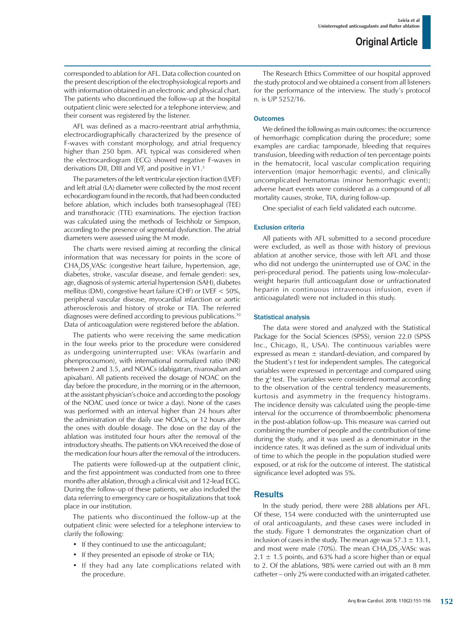corresponded to ablation for AFL. Data collection counted on the present description of the electrophysiological reports and with information obtained in an electronic and physical chart. The patients who discontinued the follow-up at the hospital outpatient clinic were selected for a telephone interview, and their consent was registered by the listener.

AFL was defined as a macro-reentrant atrial arrhythmia, electrocardiographically characterized by the presence of F-waves with constant morphology, and atrial frequency higher than 250 bpm. AFL typical was considered when the electrocardiogram (ECG) showed negative F-waves in derivations DII, DIII and VF, and positive in V1.<sup>3</sup>

The parameters of the left ventricular ejection fraction (LVEF) and left atrial (LA) diameter were collected by the most recent echocardiogram found in the records, that had been conducted before ablation, which includes both transesophageal (TEE) and transthoracic (TTE) examinations. The ejection fraction was calculated using the methods of Teichholz or Simpson, according to the presence of segmental dysfunction. The atrial diameters were assessed using the M mode.

The charts were revised aiming at recording the clinical information that was necessary for points in the score of CHA<sub>2</sub>DS<sub>2</sub>VASc (congestive heart failure, hypertension, age, diabetes, stroke, vascular disease, and female gender): sex, age, diagnosis of systemic arterial hypertension (SAH), diabetes mellitus (DM), congestive heart failure (CHF) or LVEF < 50%, peripheral vascular disease, myocardial infarction or aortic atherosclerosis and history of stroke or TIA. The referred diagnoses were defined according to previous publications.10 Data of anticoagulation were registered before the ablation.

The patients who were receiving the same medication in the four weeks prior to the procedure were considered as undergoing uninterrupted use: VKAs (warfarin and phenprocoumon), with international normalized ratio (INR) between 2 and 3.5, and NOACs (dabigatran, rivaroxaban and apixaban). All patients received the dosage of NOAC on the day before the procedure, in the morning or in the afternoon, at the assistant physician's choice and according to the posology of the NOAC used (once or twice a day). None of the cases was performed with an interval higher than 24 hours after the administration of the daily use NOACs, or 12 hours after the ones with double dosage. The dose on the day of the ablation was instituted four hours after the removal of the introductory sheaths. The patients on VKA received the dose of the medication four hours after the removal of the introducers.

The patients were followed-up at the outpatient clinic, and the first appointment was conducted from one to three months after ablation, through a clinical visit and 12-lead ECG. During the follow-up of these patients, we also included the data referring to emergency care or hospitalizations that took place in our institution.

The patients who discontinued the follow-up at the outpatient clinic were selected for a telephone interview to clarify the following:

- If they continued to use the anticoagulant;
- If they presented an episode of stroke or TIA;
- If they had any late complications related with the procedure.

The Research Ethics Committee of our hospital approved the study protocol and we obtained a consent from all listeners for the performance of the interview. The study's protocol n. is UP 5252/16.

#### **Outcomes**

We defined the following as main outcomes: the occurrence of hemorrhagic complication during the procedure; some examples are cardiac tamponade, bleeding that requires transfusion, bleeding with reduction of ten percentage points in the hematocrit, local vascular complication requiring intervention (major hemorrhagic events), and clinically uncomplicated hematomas (minor hemorrhagic event); adverse heart events were considered as a compound of all mortality causes, stroke, TIA, during follow-up.

One specialist of each field validated each outcome.

#### Exclusion criteria

All patients with AFL submitted to a second procedure were excluded, as well as those with history of previous ablation at another service, those with left AFL and those who did not undergo the uninterrupted use of OAC in the peri-procedural period. The patients using low-molecularweight heparin (full anticoagulant dose or unfractionated heparin in continuous intravenous infusion, even if anticoagulated) were not included in this study.

#### Statistical analysis

The data were stored and analyzed with the Statistical Package for the Social Sciences (SPSS), version 22.0 (SPSS Inc., Chicago, IL, USA). The continuous variables were expressed as mean  $\pm$  standard-deviation, and compared by the Student's *t* test for independent samples. The categorical variables were expressed in percentage and compared using the  $\chi^2$  test. The variables were considered normal according to the observation of the central tendency measurements, kurtosis and asymmetry in the frequency histograms. The incidence density was calculated using the people-time interval for the occurrence of thromboembolic phenomena in the post-ablation follow-up. This measure was carried out combining the number of people and the contribution of time during the study, and it was used as a denominator in the incidence rates. It was defined as the sum of individual units of time to which the people in the population studied were exposed, or at risk for the outcome of interest. The statistical significance level adopted was 5%.

# **Results**

In the study period, there were 288 ablations per AFL. Of these, 154 were conducted with the uninterrupted use of oral anticoagulants, and these cases were included in the study. Figure 1 demonstrates the organization chart of inclusion of cases in the study. The mean age was  $57.3 \pm 13.1$ , and most were male (70%). The mean  $CHA<sub>2</sub>DS<sub>2</sub>$ -VASc was  $2.1 \pm 1.5$  points, and 63% had a score higher than or equal to 2. Of the ablations, 98% were carried out with an 8 mm catheter – only 2% were conducted with an irrigated catheter.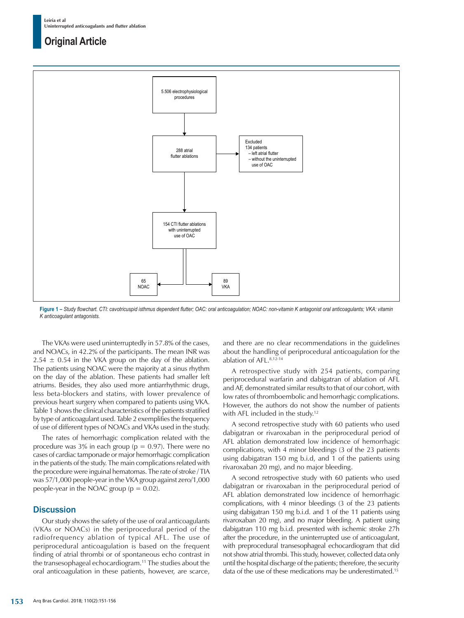# **Original Article**



**Figure 1 –** *Study flowchart. CTI: cavotricuspid isthmus dependent flutter; OAC: oral anticoagulation; NOAC: non-vitamin K antagonist oral anticoagulants; VKA: vitamin K anticoagulant antagonists.*

The VKAs were used uninterruptedly in 57.8% of the cases, and NOACs, in 42.2% of the participants. The mean INR was  $2.54 \pm 0.54$  in the VKA group on the day of the ablation. The patients using NOAC were the majority at a sinus rhythm on the day of the ablation. These patients had smaller left atriums. Besides, they also used more antiarrhythmic drugs, less beta-blockers and statins, with lower prevalence of previous heart surgery when compared to patients using VKA. Table 1 shows the clinical characteristics of the patients stratified by type of anticoagulant used. Table 2 exemplifies the frequency of use of different types of NOACs and VKAs used in the study.

The rates of hemorrhagic complication related with the procedure was 3% in each group ( $p = 0.97$ ). There were no cases of cardiac tamponade or major hemorrhagic complication in the patients of the study. The main complications related with the procedure were inguinal hematomas. The rate of stroke / TIA was 57/1,000 people-year in the VKA group against zero/1,000 people-year in the NOAC group ( $p = 0.02$ ).

# **Discussion**

Our study shows the safety of the use of oral anticoagulants (VKAs or NOACs) in the periprocedural period of the radiofrequency ablation of typical AFL. The use of periprocedural anticoagulation is based on the frequent finding of atrial thrombi or of spontaneous echo contrast in the transesophageal echocardiogram.11 The studies about the oral anticoagulation in these patients, however, are scarce, and there are no clear recommendations in the guidelines about the handling of periprocedural anticoagulation for the ablation of AFL.8,12-14

A retrospective study with 254 patients, comparing periprocedural warfarin and dabigatran of ablation of AFL and AF, demonstrated similar results to that of our cohort, with low rates of thromboembolic and hemorrhagic complications. However, the authors do not show the number of patients with AFL included in the study.<sup>12</sup>

A second retrospective study with 60 patients who used dabigatran or rivaroxaban in the periprocedural period of AFL ablation demonstrated low incidence of hemorrhagic complications, with 4 minor bleedings (3 of the 23 patients using dabigatran 150 mg b.i.d, and 1 of the patients using rivaroxaban 20 mg), and no major bleeding.

A second retrospective study with 60 patients who used dabigatran or rivaroxaban in the periprocedural period of AFL ablation demonstrated low incidence of hemorrhagic complications, with 4 minor bleedings (3 of the 23 patients using dabigatran 150 mg b.i.d. and 1 of the 11 patients using rivaroxaban 20 mg), and no major bleeding. A patient using dabigatran 110 mg b.i.d. presented with ischemic stroke 27h after the procedure, in the uninterrupted use of anticoagulant, with preprocedural transesophageal echocardiogram that did not show atrial thrombi. This study, however, collected data only until the hospital discharge of the patients; therefore, the security data of the use of these medications may be underestimated.15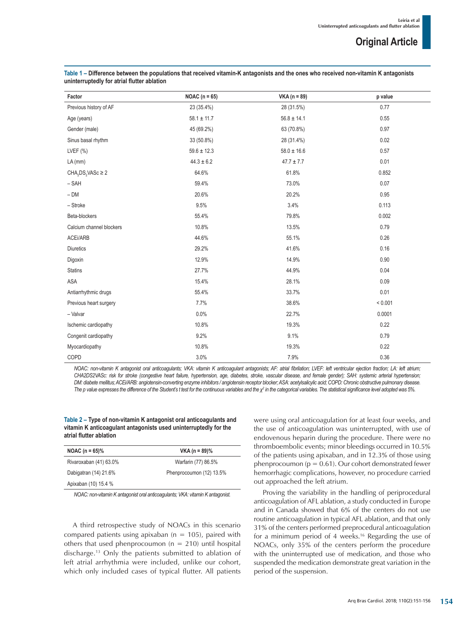| Factor                                         | NOAC ( $n = 65$ ) | $VKA (n = 89)$  | p value |
|------------------------------------------------|-------------------|-----------------|---------|
| Previous history of AF                         | 23 (35.4%)        | 28 (31.5%)      | 0.77    |
| Age (years)                                    | $58.1 \pm 11.7$   | $56.8 \pm 14.1$ | 0.55    |
| Gender (male)                                  | 45 (69.2%)        | 63 (70.8%)      | 0.97    |
| Sinus basal rhythm                             | 33 (50.8%)        | 28 (31.4%)      | 0.02    |
| LVEF $(%)$                                     | $59.6 \pm 12.3$   | $58.0 \pm 16.6$ | 0.57    |
| $LA$ (mm)                                      | $44.3 \pm 6.2$    | $47.7 \pm 7.7$  | 0.01    |
| CHA <sub>2</sub> DS <sub>2</sub> VASc $\geq$ 2 | 64.6%             | 61.8%           | 0.852   |
| $-$ SAH                                        | 59.4%             | 73.0%           | 0.07    |
| $- DM$                                         | 20.6%             | 20.2%           | 0.95    |
| - Stroke                                       | 9.5%              | 3.4%            | 0.113   |
| Beta-blockers                                  | 55.4%             | 79.8%           | 0.002   |
| Calcium channel blockers                       | 10.8%             | 13.5%           | 0.79    |
| ACEi/ARB                                       | 44.6%             | 55.1%           | 0.26    |
| Diuretics                                      | 29.2%             | 41.6%           | 0.16    |
| Digoxin                                        | 12.9%             | 14.9%           | 0.90    |
| <b>Statins</b>                                 | 27.7%             | 44.9%           | 0.04    |
| ASA                                            | 15.4%             | 28.1%           | 0.09    |
| Antiarrhythmic drugs                           | 55.4%             | 33.7%           | 0.01    |
| Previous heart surgery                         | 7.7%              | 38.6%           | < 0.001 |
| - Valvar                                       | 0.0%              | 22.7%           | 0.0001  |
| Ischemic cardiopathy                           | 10.8%             | 19.3%           | 0.22    |
| Congenit cardiopathy                           | 9.2%              | 9.1%            | 0.79    |
| Myocardiopathy                                 | 10.8%             | 19.3%           | 0.22    |
| COPD                                           | 3.0%              | 7.9%            | 0.36    |

**Table 1 – Difference between the populations that received vitamin-K antagonists and the ones who received non-vitamin K antagonists uninterruptedly for atrial flutter ablation**

*NOAC: non-vitamin K antagonist oral anticoagulants; VKA: vitamin K anticoagulant antagonists; AF: atrial fibrilation; LVEF: left ventricular ejection fraction; LA: left atrium; CHA2DS2VASc: risk for stroke (congestive heart failure, hypertension, age, diabetes, stroke, vascular disease, and female gender); SAH: systemic arterial hypertension; DM: diabete mellitus; ACEi/ARB: angiotensin-converting enzyme inhibitors / angiotensin receptor blocker; ASA: acetylsalicylic acid; COPD: Chronic obstructive pulmonary disease. The p value expresses the difference of the Student's t test for the continuous variables and the χ2 in the categorical variables. The statistical significance level adopted was 5%.*

#### **Table 2 – Type of non-vitamin K antagonist oral anticoagulants and vitamin K anticoagulant antagonists used uninterruptedly for the atrial flutter ablation**

| NOAC $(n = 65)\%$      | $VKA (n = 89)\%$         |  |
|------------------------|--------------------------|--|
| Rivaroxaban (41) 63.0% | Warfarin (77) 86.5%      |  |
| Dabigatran (14) 21.6%  | Phenprocoumon (12) 13.5% |  |
| Apixaban (10) 15.4 %   |                          |  |
|                        |                          |  |

*NOAC: non-vitamin K antagonist oral anticoagulants; VKA: vitamin K antagonist.*

A third retrospective study of NOACs in this scenario compared patients using apixaban ( $n = 105$ ), paired with others that used phenprocoumon ( $n = 210$ ) until hospital discharge.13 Only the patients submitted to ablation of left atrial arrhythmia were included, unlike our cohort, which only included cases of typical flutter. All patients were using oral anticoagulation for at least four weeks, and the use of anticoagulation was uninterrupted, with use of endovenous heparin during the procedure. There were no thromboembolic events; minor bleedings occurred in 10.5% of the patients using apixaban, and in 12.3% of those using phenprocoumon ( $p = 0.61$ ). Our cohort demonstrated fewer hemorrhagic complications, however, no procedure carried out approached the left atrium.

Proving the variability in the handling of periprocedural anticoagulation of AFL ablation, a study conducted in Europe and in Canada showed that 6% of the centers do not use routine anticoagulation in typical AFL ablation, and that only 31% of the centers performed preprocedural anticoagulation for a minimum period of 4 weeks.16 Regarding the use of NOACs, only 35% of the centers perform the procedure with the uninterrupted use of medication, and those who suspended the medication demonstrate great variation in the period of the suspension.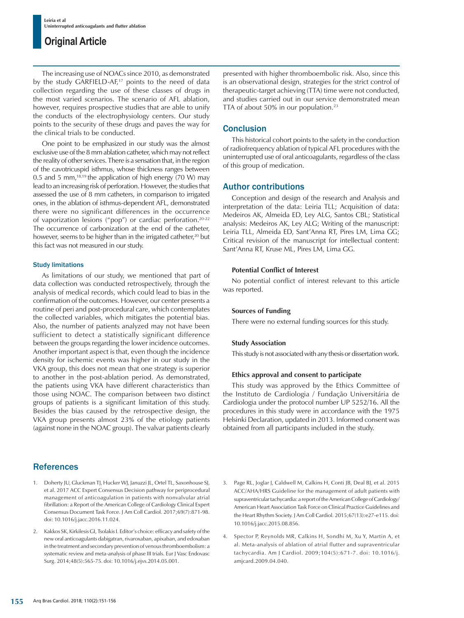# **Original Article**

The increasing use of NOACs since 2010, as demonstrated by the study GARFIELD-AF,<sup>17</sup> points to the need of data collection regarding the use of these classes of drugs in the most varied scenarios. The scenario of AFL ablation, however, requires prospective studies that are able to unify the conducts of the electrophysiology centers. Our study points to the security of these drugs and paves the way for the clinical trials to be conducted.

One point to be emphasized in our study was the almost exclusive use of the 8 mm ablation catheter, which may not reflect the reality of other services. There is a sensation that, in the region of the cavotricuspid isthmus, whose thickness ranges between 0.5 and 5 mm,<sup>18,19</sup> the application of high energy (70 W) may lead to an increasing risk of perforation. However, the studies that assessed the use of 8 mm catheters, in comparison to irrigated ones, in the ablation of isthmus-dependent AFL, demonstrated there were no significant differences in the occurrence of vaporization lesions ("pop") or cardiac perforation.<sup>20-22</sup> The occurrence of carbonization at the end of the catheter, however, seems to be higher than in the irrigated catheter,<sup>20</sup> but this fact was not measured in our study.

#### Study limitations

As limitations of our study, we mentioned that part of data collection was conducted retrospectively, through the analysis of medical records, which could lead to bias in the confirmation of the outcomes. However, our center presents a routine of peri and post-procedural care, which contemplates the collected variables, which mitigates the potential bias. Also, the number of patients analyzed may not have been sufficient to detect a statistically significant difference between the groups regarding the lower incidence outcomes. Another important aspect is that, even though the incidence density for ischemic events was higher in our study in the VKA group, this does not mean that one strategy is superior to another in the post-ablation period. As demonstrated, the patients using VKA have different characteristics than those using NOAC. The comparison between two distinct groups of patients is a significant limitation of this study. Besides the bias caused by the retrospective design, the VKA group presents almost 23% of the etiology patients (against none in the NOAC group). The valvar patients clearly

# **References**

- 1. Doherty JU, Gluckman TJ, Hucker WJ, Januzzi JL, Ortel TL, Saxonhouse SJ, et al. 2017 ACC Expert Consensus Decision pathway for periprocedural management of anticoagulation in patients with nonvalvular atrial fibrillation: a Report of the American College of Cardiology Clinical Expert Consensus Document Task Force. J Am Coll Cardiol. 2017;69(7):871-98. doi: 10.1016/j.jacc.2016.11.024.
- 2. Kakkos SK, Kirkilesis GI, Tsolakis I. Editor's choice: efficacy and safety of the new oral anticoagulants dabigatran, rivaroxaban, apixaban, and edoxaban in the treatment and secondary prevention of venous thromboembolism: a systematic review and meta-analysis of phase III trials. Eur J Vasc Endovasc Surg. 2014;48(5):565-75. doi: 10.1016/j.ejvs.2014.05.001.

presented with higher thromboembolic risk. Also, since this is an observational design, strategies for the strict control of therapeutic-target achieving (TTA) time were not conducted, and studies carried out in our service demonstrated mean TTA of about 50% in our population.<sup>23</sup>

### **Conclusion**

This historical cohort points to the safety in the conduction of radiofrequency ablation of typical AFL procedures with the uninterrupted use of oral anticoagulants, regardless of the class of this group of medication.

### Author contributions

Conception and design of the research and Analysis and interpretation of the data: Leiria TLL; Acquisition of data: Medeiros AK, Almeida ED, Ley ALG, Santos CBL; Statistical analysis: Medeiros AK, Ley ALG; Writing of the manuscript: Leiria TLL, Almeida ED, Sant'Anna RT, Pires LM, Lima GG; Critical revision of the manuscript for intellectual content: Sant'Anna RT, Kruse ML, Pires LM, Lima GG.

#### **Potential Conflict of Interest**

No potential conflict of interest relevant to this article was reported.

#### **Sources of Funding**

There were no external funding sources for this study.

#### **Study Association**

This study is not associated with any thesis or dissertation work.

#### **Ethics approval and consent to participate**

This study was approved by the Ethics Committee of the Instituto de Cardiologia / Fundação Universitária de Cardiologia under the protocol number UP 5252/16. All the procedures in this study were in accordance with the 1975 Helsinki Declaration, updated in 2013. Informed consent was obtained from all participants included in the study.

- 3. Page RL, Joglar J, Caldwell M, Calkins H, Conti JB, Deal BJ, et al. 2015 ACC/AHA/HRS Guideline for the management of adult patients with supraventricular tachycardia: a report of the American College of Cardiology/ American Heart Association Task Force on Clinical Practice Guidelines and the Heart Rhythm Society. J Am Coll Cardiol. 2015;67(13):e27-e115. doi: 10.1016/j.jacc.2015.08.856.
- 4. Spector P, Reynolds MR, Calkins H, Sondhi M, Xu Y, Martin A, et al. Meta-analysis of ablation of atrial flutter and supraventricular tachycardia. Am J Cardiol. 2009;104(5):671-7. doi: 10.1016/j. amjcard.2009.04.040.